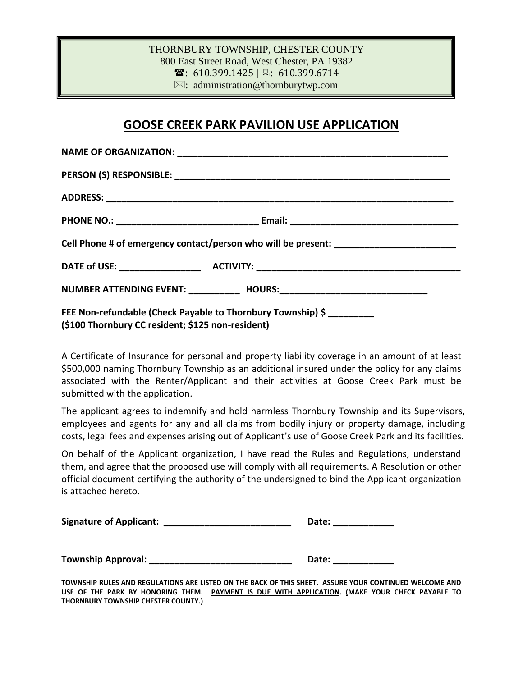## THORNBURY TOWNSHIP, CHESTER COUNTY 800 East Street Road, West Chester, PA 19382  $\mathbf{\widehat{a}}$ : 610.399.1425 | 昌: 610.399.6714  $\boxtimes$ : administration@thornburytwp.com

## **GOOSE CREEK PARK PAVILION USE APPLICATION**

| Cell Phone # of emergency contact/person who will be present: __________________                                 |  |
|------------------------------------------------------------------------------------------------------------------|--|
|                                                                                                                  |  |
|                                                                                                                  |  |
| FEE Non-refundable (Check Payable to Thornbury Township) \$<br>(\$100 Thornbury CC resident; \$125 non-resident) |  |

A Certificate of Insurance for personal and property liability coverage in an amount of at least \$500,000 naming Thornbury Township as an additional insured under the policy for any claims associated with the Renter/Applicant and their activities at Goose Creek Park must be submitted with the application.

The applicant agrees to indemnify and hold harmless Thornbury Township and its Supervisors, employees and agents for any and all claims from bodily injury or property damage, including costs, legal fees and expenses arising out of Applicant's use of Goose Creek Park and its facilities.

On behalf of the Applicant organization, I have read the Rules and Regulations, understand them, and agree that the proposed use will comply with all requirements. A Resolution or other official document certifying the authority of the undersigned to bind the Applicant organization is attached hereto.

| <b>Signature of Applicant:</b> | Date: |  |
|--------------------------------|-------|--|
|                                |       |  |
| <b>Township Approval:</b>      | Date: |  |

**TOWNSHIP RULES AND REGULATIONS ARE LISTED ON THE BACK OF THIS SHEET. ASSURE YOUR CONTINUED WELCOME AND** USE OF THE PARK BY HONORING THEM. PAYMENT IS DUE WITH APPLICATION. (MAKE YOUR CHECK PAYABLE TO **THORNBURY TOWNSHIP CHESTER COUNTY.)**